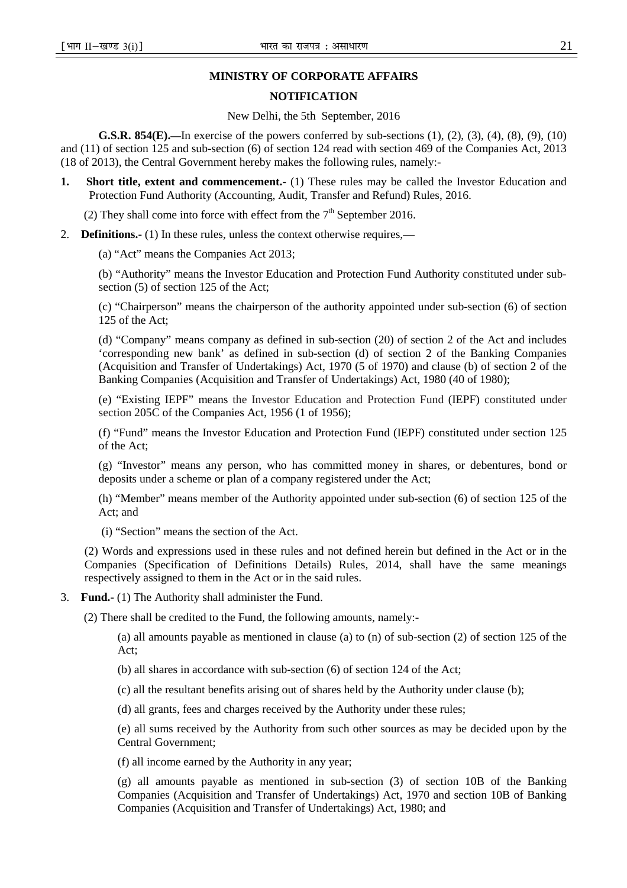#### **MINISTRY OF CORPORATE AFFAIRS**

#### **NOTIFICATION**

#### New Delhi, the 5th September, 2016

**G.S.R. 854(E).—**In exercise of the powers conferred by sub-sections (1), (2), (3), (4), (8), (9), (10) and (11) of section 125 and sub-section (6) of section 124 read with section 469 of the Companies Act, 2013 (18 of 2013), the Central Government hereby makes the following rules, namely:-

**1.** Short title, extent and commencement.- (1) These rules may be called the Investor Education and Protection Fund Authority (Accounting, Audit, Transfer and Refund) Rules, 2016.

(2) They shall come into force with effect from the  $7<sup>th</sup>$  September 2016.

2. **Definitions.-** (1) In these rules, unless the context otherwise requires,—

(a) "Act" means the Companies Act 2013;

(b) "Authority" means the Investor Education and Protection Fund Authority constituted under subsection (5) of section 125 of the Act;

(c) "Chairperson" means the chairperson of the authority appointed under sub-section (6) of section 125 of the Act;

(d) "Company" means company as defined in sub-section (20) of section 2 of the Act and includes 'corresponding new bank' as defined in sub-section (d) of section 2 of the Banking Companies (Acquisition and Transfer of Undertakings) Act, 1970 (5 of 1970) and clause (b) of section 2 of the Banking Companies (Acquisition and Transfer of Undertakings) Act, 1980 (40 of 1980);

(e) "Existing IEPF" means the Investor Education and Protection Fund (IEPF) constituted under section 205C of the Companies Act, 1956 (1 of 1956);

(f) "Fund" means the Investor Education and Protection Fund (IEPF) constituted under section 125 of the Act;

(g) "Investor" means any person, who has committed money in shares, or debentures, bond or deposits under a scheme or plan of a company registered under the Act;

(h) "Member" means member of the Authority appointed under sub-section (6) of section 125 of the Act; and

(i) "Section" means the section of the Act.

(2) Words and expressions used in these rules and not defined herein but defined in the Act or in the Companies (Specification of Definitions Details) Rules, 2014, shall have the same meanings respectively assigned to them in the Act or in the said rules.

3. **Fund.-** (1) The Authority shall administer the Fund.

(2) There shall be credited to the Fund, the following amounts, namely:-

(a) all amounts payable as mentioned in clause (a) to (n) of sub-section (2) of section 125 of the Act;

(b) all shares in accordance with sub-section (6) of section 124 of the Act;

(c) all the resultant benefits arising out of shares held by the Authority under clause (b);

(d) all grants, fees and charges received by the Authority under these rules;

(e) all sums received by the Authority from such other sources as may be decided upon by the Central Government;

(f) all income earned by the Authority in any year;

(g) all amounts payable as mentioned in sub-section (3) of section 10B of the Banking Companies (Acquisition and Transfer of Undertakings) Act, 1970 and section 10B of Banking Companies (Acquisition and Transfer of Undertakings) Act, 1980; and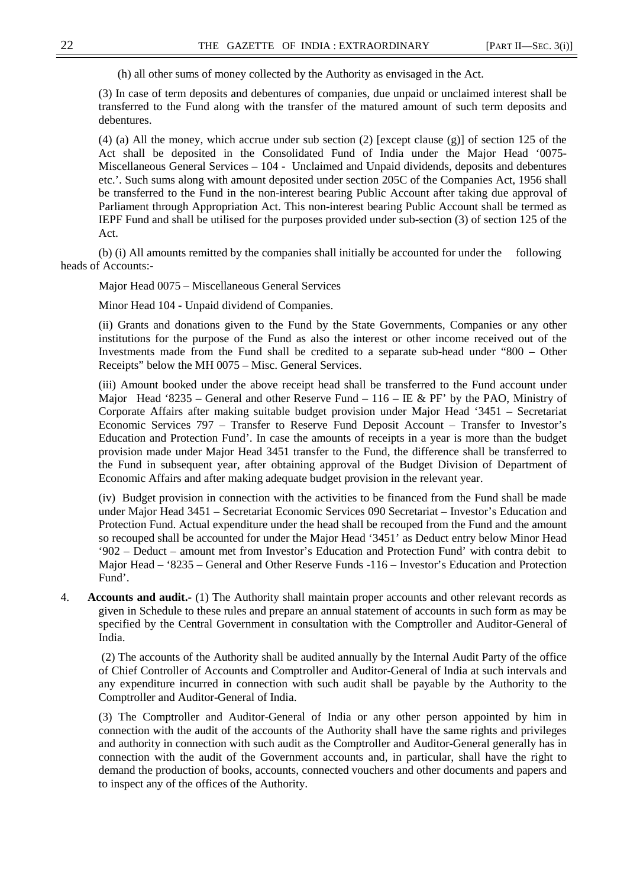(h) all other sums of money collected by the Authority as envisaged in the Act.

(3) In case of term deposits and debentures of companies, due unpaid or unclaimed interest shall be transferred to the Fund along with the transfer of the matured amount of such term deposits and debentures.

(4) (a) All the money, which accrue under sub section (2) [except clause (g)] of section 125 of the Act shall be deposited in the Consolidated Fund of India under the Major Head '0075- Miscellaneous General Services – 104 - Unclaimed and Unpaid dividends, deposits and debentures etc.'. Such sums along with amount deposited under section 205C of the Companies Act, 1956 shall be transferred to the Fund in the non-interest bearing Public Account after taking due approval of Parliament through Appropriation Act. This non-interest bearing Public Account shall be termed as IEPF Fund and shall be utilised for the purposes provided under sub-section (3) of section 125 of the Act.

(b) (i) All amounts remitted by the companies shall initially be accounted for under the following heads of Accounts:-

Major Head 0075 – Miscellaneous General Services

Minor Head 104 **-** Unpaid dividend of Companies.

(ii) Grants and donations given to the Fund by the State Governments, Companies or any other institutions for the purpose of the Fund as also the interest or other income received out of the Investments made from the Fund shall be credited to a separate sub-head under "800 – Other Receipts" below the MH 0075 – Misc. General Services.

(iii) Amount booked under the above receipt head shall be transferred to the Fund account under Major Head '8235 – General and other Reserve Fund – 116 – IE & PF' by the PAO, Ministry of Corporate Affairs after making suitable budget provision under Major Head '3451 – Secretariat Economic Services 797 – Transfer to Reserve Fund Deposit Account – Transfer to Investor's Education and Protection Fund'. In case the amounts of receipts in a year is more than the budget provision made under Major Head 3451 transfer to the Fund, the difference shall be transferred to the Fund in subsequent year, after obtaining approval of the Budget Division of Department of Economic Affairs and after making adequate budget provision in the relevant year.

(iv) Budget provision in connection with the activities to be financed from the Fund shall be made under Major Head 3451 – Secretariat Economic Services 090 Secretariat – Investor's Education and Protection Fund. Actual expenditure under the head shall be recouped from the Fund and the amount so recouped shall be accounted for under the Major Head '3451' as Deduct entry below Minor Head '902 – Deduct – amount met from Investor's Education and Protection Fund' with contra debit to Major Head – '8235 – General and Other Reserve Funds -116 – Investor's Education and Protection Fund'.

4. **Accounts and audit.-** (1) The Authority shall maintain proper accounts and other relevant records as given in Schedule to these rules and prepare an annual statement of accounts in such form as may be specified by the Central Government in consultation with the Comptroller and Auditor-General of India.

 (2) The accounts of the Authority shall be audited annually by the Internal Audit Party of the office of Chief Controller of Accounts and Comptroller and Auditor-General of India at such intervals and any expenditure incurred in connection with such audit shall be payable by the Authority to the Comptroller and Auditor-General of India.

(3) The Comptroller and Auditor-General of India or any other person appointed by him in connection with the audit of the accounts of the Authority shall have the same rights and privileges and authority in connection with such audit as the Comptroller and Auditor-General generally has in connection with the audit of the Government accounts and, in particular, shall have the right to demand the production of books, accounts, connected vouchers and other documents and papers and to inspect any of the offices of the Authority.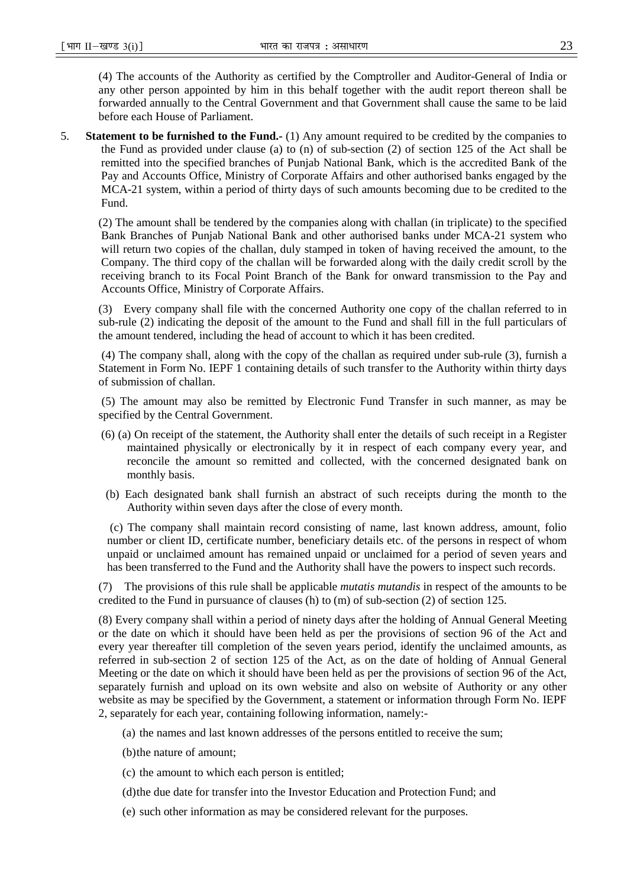(4) The accounts of the Authority as certified by the Comptroller and Auditor-General of India or any other person appointed by him in this behalf together with the audit report thereon shall be forwarded annually to the Central Government and that Government shall cause the same to be laid before each House of Parliament.

5. **Statement to be furnished to the Fund.-** (1) Any amount required to be credited by the companies to the Fund as provided under clause (a) to (n) of sub-section (2) of section 125 of the Act shall be remitted into the specified branches of Punjab National Bank, which is the accredited Bank of the Pay and Accounts Office, Ministry of Corporate Affairs and other authorised banks engaged by the MCA-21 system, within a period of thirty days of such amounts becoming due to be credited to the Fund.

(2) The amount shall be tendered by the companies along with challan (in triplicate) to the specified Bank Branches of Punjab National Bank and other authorised banks under MCA-21 system who will return two copies of the challan, duly stamped in token of having received the amount, to the Company. The third copy of the challan will be forwarded along with the daily credit scroll by the receiving branch to its Focal Point Branch of the Bank for onward transmission to the Pay and Accounts Office, Ministry of Corporate Affairs.

(3) Every company shall file with the concerned Authority one copy of the challan referred to in sub-rule (2) indicating the deposit of the amount to the Fund and shall fill in the full particulars of the amount tendered, including the head of account to which it has been credited.

 (4) The company shall, along with the copy of the challan as required under sub-rule (3), furnish a Statement in Form No. IEPF 1 containing details of such transfer to the Authority within thirty days of submission of challan.

 (5) The amount may also be remitted by Electronic Fund Transfer in such manner, as may be specified by the Central Government.

- (6) (a) On receipt of the statement, the Authority shall enter the details of such receipt in a Register maintained physically or electronically by it in respect of each company every year, and reconcile the amount so remitted and collected, with the concerned designated bank on monthly basis.
- (b) Each designated bank shall furnish an abstract of such receipts during the month to the Authority within seven days after the close of every month.

 (c) The company shall maintain record consisting of name, last known address, amount, folio number or client ID, certificate number, beneficiary details etc. of the persons in respect of whom unpaid or unclaimed amount has remained unpaid or unclaimed for a period of seven years and has been transferred to the Fund and the Authority shall have the powers to inspect such records.

(7) The provisions of this rule shall be applicable *mutatis mutandis* in respect of the amounts to be credited to the Fund in pursuance of clauses (h) to (m) of sub-section (2) of section 125.

(8) Every company shall within a period of ninety days after the holding of Annual General Meeting or the date on which it should have been held as per the provisions of section 96 of the Act and every year thereafter till completion of the seven years period, identify the unclaimed amounts, as referred in sub-section 2 of section 125 of the Act, as on the date of holding of Annual General Meeting or the date on which it should have been held as per the provisions of section 96 of the Act, separately furnish and upload on its own website and also on website of Authority or any other website as may be specified by the Government, a statement or information through Form No. IEPF 2, separately for each year, containing following information, namely:-

- (a) the names and last known addresses of the persons entitled to receive the sum;
- (b)the nature of amount;
- (c) the amount to which each person is entitled;
- (d)the due date for transfer into the Investor Education and Protection Fund; and
- (e) such other information as may be considered relevant for the purposes.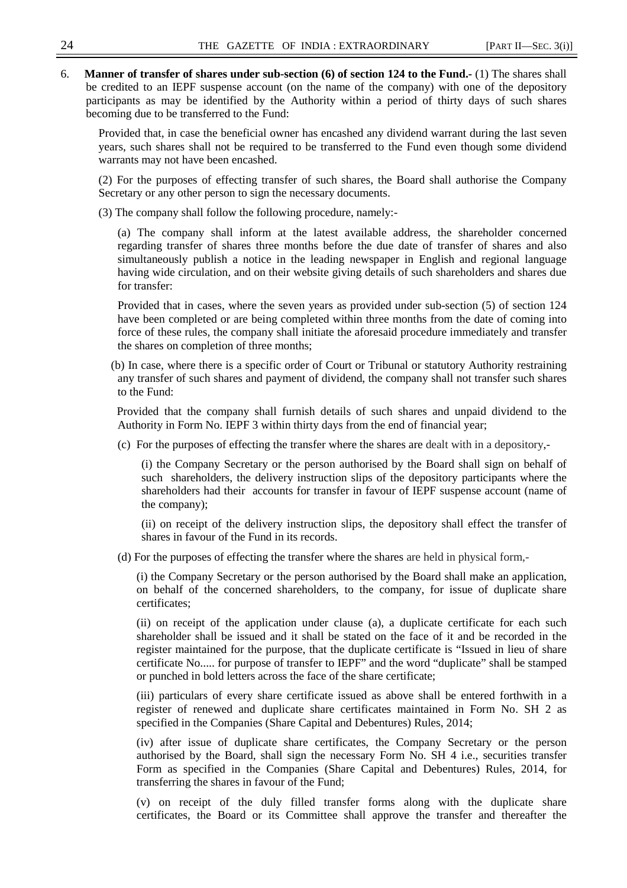6. **Manner of transfer of shares under sub-section (6) of section 124 to the Fund.-** (1) The shares shall be credited to an IEPF suspense account (on the name of the company) with one of the depository participants as may be identified by the Authority within a period of thirty days of such shares becoming due to be transferred to the Fund:

Provided that, in case the beneficial owner has encashed any dividend warrant during the last seven years, such shares shall not be required to be transferred to the Fund even though some dividend warrants may not have been encashed.

(2) For the purposes of effecting transfer of such shares, the Board shall authorise the Company Secretary or any other person to sign the necessary documents.

- (3) The company shall follow the following procedure, namely:-
	- (a) The company shall inform at the latest available address, the shareholder concerned regarding transfer of shares three months before the due date of transfer of shares and also simultaneously publish a notice in the leading newspaper in English and regional language having wide circulation, and on their website giving details of such shareholders and shares due for transfer:

Provided that in cases, where the seven years as provided under sub-section (5) of section 124 have been completed or are being completed within three months from the date of coming into force of these rules, the company shall initiate the aforesaid procedure immediately and transfer the shares on completion of three months;

(b) In case, where there is a specific order of Court or Tribunal or statutory Authority restraining any transfer of such shares and payment of dividend, the company shall not transfer such shares to the Fund:

 Provided that the company shall furnish details of such shares and unpaid dividend to the Authority in Form No. IEPF 3 within thirty days from the end of financial year;

(c) For the purposes of effecting the transfer where the shares are dealt with in a depository,-

(i) the Company Secretary or the person authorised by the Board shall sign on behalf of such shareholders, the delivery instruction slips of the depository participants where the shareholders had their accounts for transfer in favour of IEPF suspense account (name of the company);

(ii) on receipt of the delivery instruction slips, the depository shall effect the transfer of shares in favour of the Fund in its records.

(d) For the purposes of effecting the transfer where the shares are held in physical form,-

(i) the Company Secretary or the person authorised by the Board shall make an application, on behalf of the concerned shareholders, to the company, for issue of duplicate share certificates;

(ii) on receipt of the application under clause (a), a duplicate certificate for each such shareholder shall be issued and it shall be stated on the face of it and be recorded in the register maintained for the purpose, that the duplicate certificate is "Issued in lieu of share certificate No..... for purpose of transfer to IEPF" and the word "duplicate" shall be stamped or punched in bold letters across the face of the share certificate;

(iii) particulars of every share certificate issued as above shall be entered forthwith in a register of renewed and duplicate share certificates maintained in Form No. SH 2 as specified in the Companies (Share Capital and Debentures) Rules, 2014;

(iv) after issue of duplicate share certificates, the Company Secretary or the person authorised by the Board, shall sign the necessary Form No. SH 4 i.e., securities transfer Form as specified in the Companies (Share Capital and Debentures) Rules, 2014, for transferring the shares in favour of the Fund;

(v) on receipt of the duly filled transfer forms along with the duplicate share certificates, the Board or its Committee shall approve the transfer and thereafter the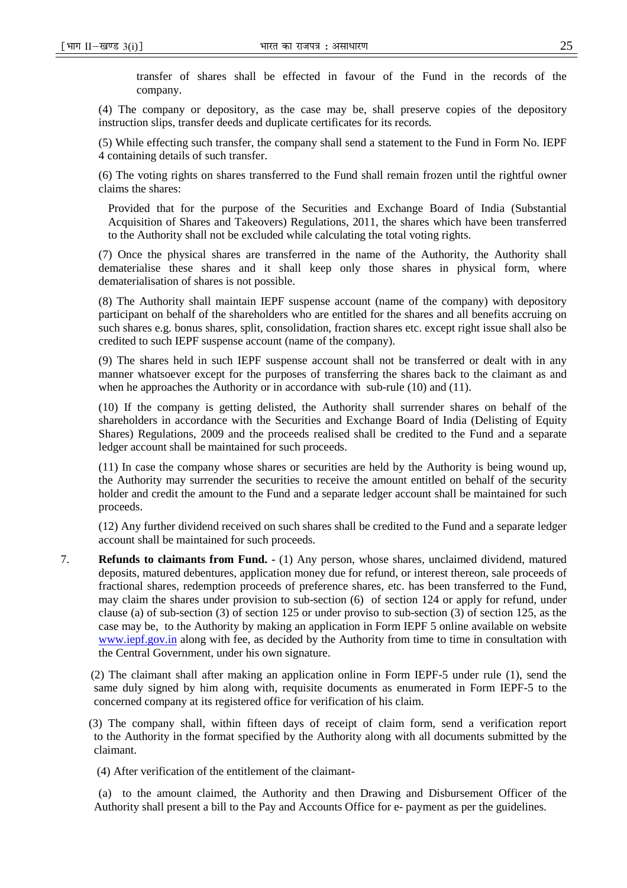transfer of shares shall be effected in favour of the Fund in the records of the company.

(4) The company or depository, as the case may be, shall preserve copies of the depository instruction slips, transfer deeds and duplicate certificates for its records*.* 

(5) While effecting such transfer, the company shall send a statement to the Fund in Form No. IEPF 4 containing details of such transfer.

(6) The voting rights on shares transferred to the Fund shall remain frozen until the rightful owner claims the shares:

Provided that for the purpose of the Securities and Exchange Board of India (Substantial Acquisition of Shares and Takeovers) Regulations, 2011, the shares which have been transferred to the Authority shall not be excluded while calculating the total voting rights.

(7) Once the physical shares are transferred in the name of the Authority, the Authority shall dematerialise these shares and it shall keep only those shares in physical form, where dematerialisation of shares is not possible.

(8) The Authority shall maintain IEPF suspense account (name of the company) with depository participant on behalf of the shareholders who are entitled for the shares and all benefits accruing on such shares e.g. bonus shares, split, consolidation, fraction shares etc. except right issue shall also be credited to such IEPF suspense account (name of the company).

(9) The shares held in such IEPF suspense account shall not be transferred or dealt with in any manner whatsoever except for the purposes of transferring the shares back to the claimant as and when he approaches the Authority or in accordance with sub-rule (10) and (11).

(10) If the company is getting delisted, the Authority shall surrender shares on behalf of the shareholders in accordance with the Securities and Exchange Board of India (Delisting of Equity Shares) Regulations, 2009 and the proceeds realised shall be credited to the Fund and a separate ledger account shall be maintained for such proceeds.

(11) In case the company whose shares or securities are held by the Authority is being wound up, the Authority may surrender the securities to receive the amount entitled on behalf of the security holder and credit the amount to the Fund and a separate ledger account shall be maintained for such proceeds.

(12) Any further dividend received on such shares shall be credited to the Fund and a separate ledger account shall be maintained for such proceeds.

7. **Refunds to claimants from Fund. -** (1) Any person, whose shares, unclaimed dividend, matured deposits, matured debentures, application money due for refund, or interest thereon, sale proceeds of fractional shares, redemption proceeds of preference shares, etc. has been transferred to the Fund, may claim the shares under provision to sub-section (6) of section 124 or apply for refund, under clause (a) of sub-section (3) of section 125 or under proviso to sub-section (3) of section 125, as the case may be, to the Authority by making an application in Form IEPF 5 online available on website www.iepf.gov.in along with fee, as decided by the Authority from time to time in consultation with the Central Government, under his own signature.

 (2) The claimant shall after making an application online in Form IEPF-5 under rule (1), send the same duly signed by him along with, requisite documents as enumerated in Form IEPF-5 to the concerned company at its registered office for verification of his claim.

 (3) The company shall, within fifteen days of receipt of claim form, send a verification report to the Authority in the format specified by the Authority along with all documents submitted by the claimant.

(4) After verification of the entitlement of the claimant-

(a) to the amount claimed, the Authority and then Drawing and Disbursement Officer of the Authority shall present a bill to the Pay and Accounts Office for e- payment as per the guidelines.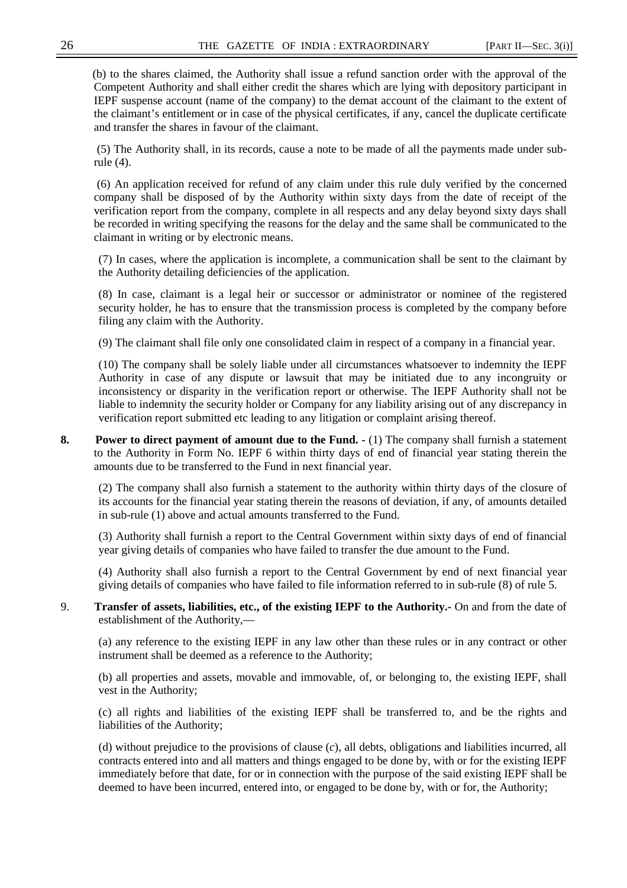(b) to the shares claimed, the Authority shall issue a refund sanction order with the approval of the Competent Authority and shall either credit the shares which are lying with depository participant in IEPF suspense account (name of the company) to the demat account of the claimant to the extent of the claimant's entitlement or in case of the physical certificates, if any, cancel the duplicate certificate and transfer the shares in favour of the claimant.

 (5) The Authority shall, in its records, cause a note to be made of all the payments made under subrule (4).

 (6) An application received for refund of any claim under this rule duly verified by the concerned company shall be disposed of by the Authority within sixty days from the date of receipt of the verification report from the company, complete in all respects and any delay beyond sixty days shall be recorded in writing specifying the reasons for the delay and the same shall be communicated to the claimant in writing or by electronic means.

(7) In cases, where the application is incomplete, a communication shall be sent to the claimant by the Authority detailing deficiencies of the application.

(8) In case, claimant is a legal heir or successor or administrator or nominee of the registered security holder, he has to ensure that the transmission process is completed by the company before filing any claim with the Authority.

(9) The claimant shall file only one consolidated claim in respect of a company in a financial year.

(10) The company shall be solely liable under all circumstances whatsoever to indemnity the IEPF Authority in case of any dispute or lawsuit that may be initiated due to any incongruity or inconsistency or disparity in the verification report or otherwise. The IEPF Authority shall not be liable to indemnity the security holder or Company for any liability arising out of any discrepancy in verification report submitted etc leading to any litigation or complaint arising thereof.

**8.** Power to direct payment of amount due to the Fund.  $\cdot$  (1) The company shall furnish a statement to the Authority in Form No. IEPF 6 within thirty days of end of financial year stating therein the amounts due to be transferred to the Fund in next financial year.

(2) The company shall also furnish a statement to the authority within thirty days of the closure of its accounts for the financial year stating therein the reasons of deviation, if any, of amounts detailed in sub-rule (1) above and actual amounts transferred to the Fund.

(3) Authority shall furnish a report to the Central Government within sixty days of end of financial year giving details of companies who have failed to transfer the due amount to the Fund.

(4) Authority shall also furnish a report to the Central Government by end of next financial year giving details of companies who have failed to file information referred to in sub-rule (8) of rule 5.

9. **Transfer of assets, liabilities, etc., of the existing IEPF to the Authority.-** On and from the date of establishment of the Authority,—

(a) any reference to the existing IEPF in any law other than these rules or in any contract or other instrument shall be deemed as a reference to the Authority;

(b) all properties and assets, movable and immovable, of, or belonging to, the existing IEPF, shall vest in the Authority;

(c) all rights and liabilities of the existing IEPF shall be transferred to, and be the rights and liabilities of the Authority;

(d) without prejudice to the provisions of clause (*c*), all debts, obligations and liabilities incurred, all contracts entered into and all matters and things engaged to be done by, with or for the existing IEPF immediately before that date, for or in connection with the purpose of the said existing IEPF shall be deemed to have been incurred, entered into, or engaged to be done by, with or for, the Authority;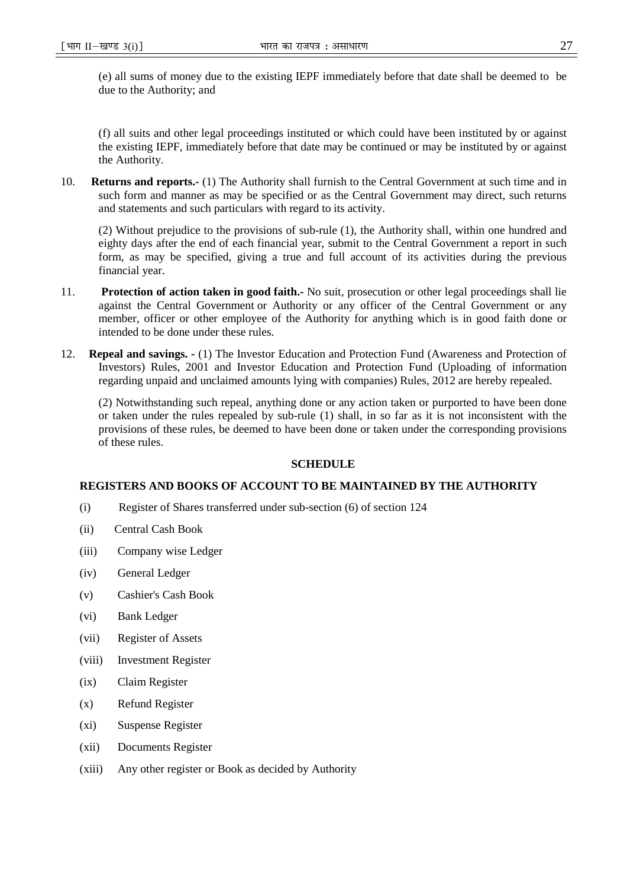(e) all sums of money due to the existing IEPF immediately before that date shall be deemed to be due to the Authority; and

(f) all suits and other legal proceedings instituted or which could have been instituted by or against the existing IEPF, immediately before that date may be continued or may be instituted by or against the Authority.

10. **Returns and reports.-** (1) The Authority shall furnish to the Central Government at such time and in such form and manner as may be specified or as the Central Government may direct, such returns and statements and such particulars with regard to its activity.

(2) Without prejudice to the provisions of sub-rule (1), the Authority shall, within one hundred and eighty days after the end of each financial year, submit to the Central Government a report in such form, as may be specified, giving a true and full account of its activities during the previous financial year.

- 11. **Protection of action taken in good faith.-** No suit, prosecution or other legal proceedings shall lie against the Central Government or Authority or any officer of the Central Government or any member, officer or other employee of the Authority for anything which is in good faith done or intended to be done under these rules.
- 12. **Repeal and savings.** (1) The Investor Education and Protection Fund (Awareness and Protection of Investors) Rules, 2001 and Investor Education and Protection Fund (Uploading of information regarding unpaid and unclaimed amounts lying with companies) Rules, 2012 are hereby repealed.

(2) Notwithstanding such repeal, anything done or any action taken or purported to have been done or taken under the rules repealed by sub-rule (1) shall, in so far as it is not inconsistent with the provisions of these rules, be deemed to have been done or taken under the corresponding provisions of these rules.

#### **SCHEDULE**

### **REGISTERS AND BOOKS OF ACCOUNT TO BE MAINTAINED BY THE AUTHORITY**

- (i) Register of Shares transferred under sub-section (6) of section 124
- (ii) Central Cash Book
- (iii) Company wise Ledger
- (iv) General Ledger
- (v) Cashier's Cash Book
- (vi) Bank Ledger
- (vii) Register of Assets
- (viii) Investment Register
- (ix) Claim Register
- (x) Refund Register
- (xi) Suspense Register
- (xii) Documents Register
- (xiii) Any other register or Book as decided by Authority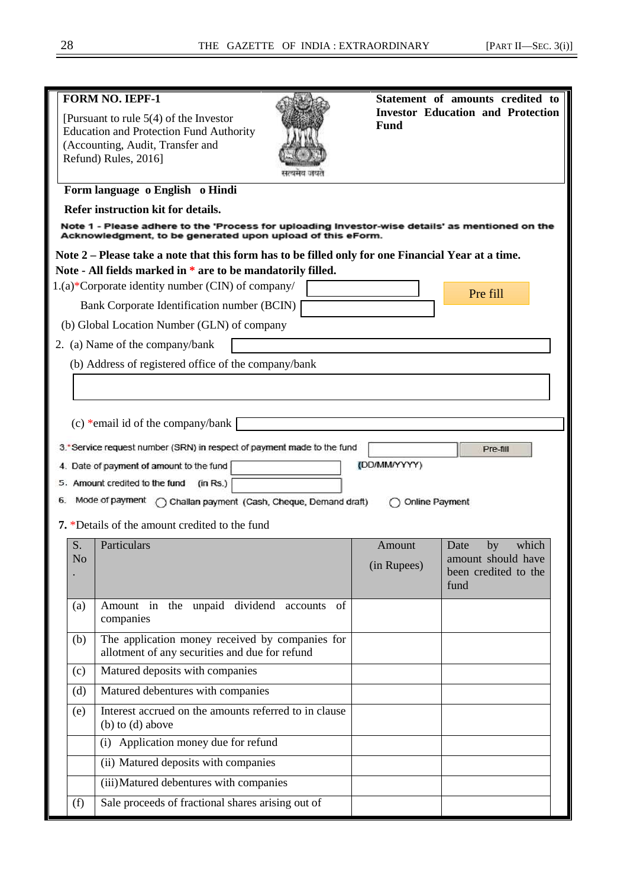|                                                                                                    | <b>FORM NO. IEPF-1</b><br>[Pursuant to rule $5(4)$ of the Investor<br><b>Education and Protection Fund Authority</b><br>(Accounting, Audit, Transfer and<br>Refund) Rules, 2016] | Fund           | Statement of amounts credited to<br><b>Investor Education and Protection</b> |  |  |  |  |
|----------------------------------------------------------------------------------------------------|----------------------------------------------------------------------------------------------------------------------------------------------------------------------------------|----------------|------------------------------------------------------------------------------|--|--|--|--|
|                                                                                                    | Form language o English o Hindi                                                                                                                                                  |                |                                                                              |  |  |  |  |
|                                                                                                    | Refer instruction kit for details.                                                                                                                                               |                |                                                                              |  |  |  |  |
|                                                                                                    | Note 1 - Please adhere to the 'Process for uploading Investor-wise details' as mentioned on the<br>Acknowledgment, to be generated upon upload of this eForm.                    |                |                                                                              |  |  |  |  |
| Note 2 – Please take a note that this form has to be filled only for one Financial Year at a time. |                                                                                                                                                                                  |                |                                                                              |  |  |  |  |
|                                                                                                    | Note - All fields marked in * are to be mandatorily filled.                                                                                                                      |                |                                                                              |  |  |  |  |
|                                                                                                    | 1.(a)*Corporate identity number (CIN) of company/                                                                                                                                |                | Pre fill                                                                     |  |  |  |  |
|                                                                                                    | Bank Corporate Identification number (BCIN)<br>(b) Global Location Number (GLN) of company                                                                                       |                |                                                                              |  |  |  |  |
|                                                                                                    | 2. (a) Name of the company/bank                                                                                                                                                  |                |                                                                              |  |  |  |  |
|                                                                                                    | (b) Address of registered office of the company/bank                                                                                                                             |                |                                                                              |  |  |  |  |
|                                                                                                    |                                                                                                                                                                                  |                |                                                                              |  |  |  |  |
|                                                                                                    |                                                                                                                                                                                  |                |                                                                              |  |  |  |  |
|                                                                                                    | (c) *email id of the company/bank                                                                                                                                                |                |                                                                              |  |  |  |  |
|                                                                                                    |                                                                                                                                                                                  |                |                                                                              |  |  |  |  |
|                                                                                                    | 3. Service request number (SRN) in respect of payment made to the fund                                                                                                           | (DD/MM/YYYY)   | Pre-fill                                                                     |  |  |  |  |
|                                                                                                    | 4. Date of payment of amount to the fund<br>5. Amount credited to the fund<br>(in Rs.)                                                                                           |                |                                                                              |  |  |  |  |
| 6.                                                                                                 | Mode of payment<br>Challan payment (Cash, Cheque, Demand draft)                                                                                                                  | Online Payment |                                                                              |  |  |  |  |
|                                                                                                    | 7. *Details of the amount credited to the fund                                                                                                                                   |                |                                                                              |  |  |  |  |
| S.                                                                                                 | Particulars                                                                                                                                                                      | Amount         | which<br>by<br>Date                                                          |  |  |  |  |
| N <sub>o</sub>                                                                                     |                                                                                                                                                                                  | (in Rupees)    | amount should have                                                           |  |  |  |  |
|                                                                                                    |                                                                                                                                                                                  |                | been credited to the<br>fund                                                 |  |  |  |  |
|                                                                                                    | the unpaid<br>dividend accounts<br>Amount in                                                                                                                                     | of             |                                                                              |  |  |  |  |
| (a)                                                                                                | companies                                                                                                                                                                        |                |                                                                              |  |  |  |  |
| (b)                                                                                                | The application money received by companies for<br>allotment of any securities and due for refund                                                                                |                |                                                                              |  |  |  |  |
| (c)                                                                                                | Matured deposits with companies                                                                                                                                                  |                |                                                                              |  |  |  |  |
| (d)                                                                                                | Matured debentures with companies                                                                                                                                                |                |                                                                              |  |  |  |  |
| (e)                                                                                                | Interest accrued on the amounts referred to in clause<br>(b) to (d) above                                                                                                        |                |                                                                              |  |  |  |  |
|                                                                                                    | (i) Application money due for refund                                                                                                                                             |                |                                                                              |  |  |  |  |
|                                                                                                    | (ii) Matured deposits with companies                                                                                                                                             |                |                                                                              |  |  |  |  |
|                                                                                                    | (iii) Matured debentures with companies                                                                                                                                          |                |                                                                              |  |  |  |  |
| (f)                                                                                                | Sale proceeds of fractional shares arising out of                                                                                                                                |                |                                                                              |  |  |  |  |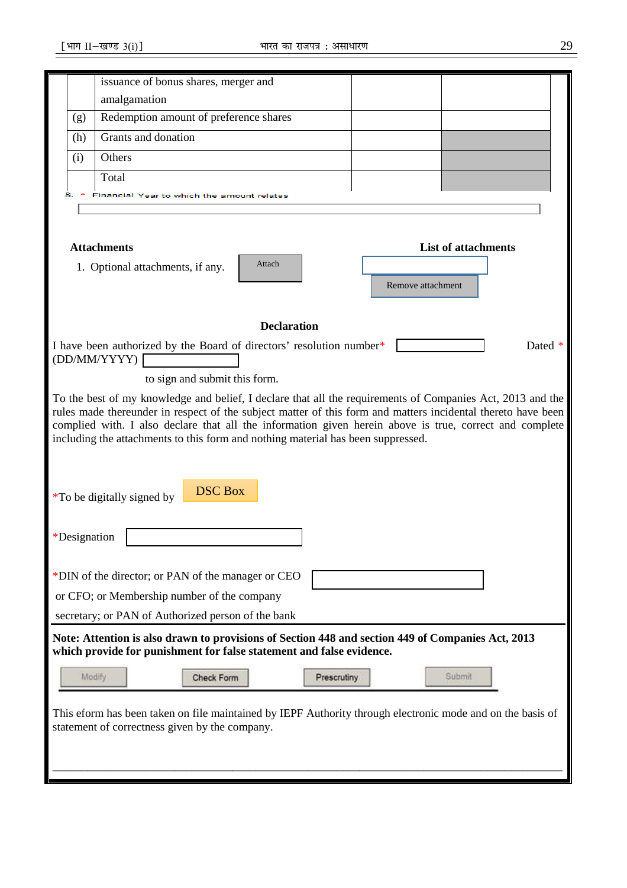|                                                                                                                                                                           |                                                                                                                     |                     | issuance of bonus shares, merger and                                                                       |                    |             |  |  |        |                                                                                                              |
|---------------------------------------------------------------------------------------------------------------------------------------------------------------------------|---------------------------------------------------------------------------------------------------------------------|---------------------|------------------------------------------------------------------------------------------------------------|--------------------|-------------|--|--|--------|--------------------------------------------------------------------------------------------------------------|
|                                                                                                                                                                           | amalgamation                                                                                                        |                     |                                                                                                            |                    |             |  |  |        |                                                                                                              |
| (g)                                                                                                                                                                       |                                                                                                                     |                     | Redemption amount of preference shares                                                                     |                    |             |  |  |        |                                                                                                              |
| (h)                                                                                                                                                                       |                                                                                                                     | Grants and donation |                                                                                                            |                    |             |  |  |        |                                                                                                              |
| (i)                                                                                                                                                                       | Others                                                                                                              |                     |                                                                                                            |                    |             |  |  |        |                                                                                                              |
|                                                                                                                                                                           | Total                                                                                                               |                     |                                                                                                            |                    |             |  |  |        |                                                                                                              |
|                                                                                                                                                                           |                                                                                                                     |                     | inancial Year to which the amount relates                                                                  |                    |             |  |  |        |                                                                                                              |
|                                                                                                                                                                           |                                                                                                                     |                     |                                                                                                            |                    |             |  |  |        |                                                                                                              |
|                                                                                                                                                                           | <b>Attachments</b><br><b>List of attachments</b><br>Attach<br>1. Optional attachments, if any.<br>Remove attachment |                     |                                                                                                            |                    |             |  |  |        |                                                                                                              |
|                                                                                                                                                                           |                                                                                                                     |                     |                                                                                                            | <b>Declaration</b> |             |  |  |        |                                                                                                              |
|                                                                                                                                                                           |                                                                                                                     |                     | I have been authorized by the Board of directors' resolution number*                                       |                    |             |  |  |        | Dated *                                                                                                      |
|                                                                                                                                                                           | (DD/MM/YYYY)                                                                                                        |                     |                                                                                                            |                    |             |  |  |        |                                                                                                              |
|                                                                                                                                                                           |                                                                                                                     |                     | to sign and submit this form.                                                                              |                    |             |  |  |        |                                                                                                              |
|                                                                                                                                                                           |                                                                                                                     |                     |                                                                                                            |                    |             |  |  |        | To the best of my knowledge and belief, I declare that all the requirements of Companies Act, 2013 and the   |
|                                                                                                                                                                           |                                                                                                                     |                     |                                                                                                            |                    |             |  |  |        | rules made thereunder in respect of the subject matter of this form and matters incidental thereto have been |
|                                                                                                                                                                           |                                                                                                                     |                     |                                                                                                            |                    |             |  |  |        | complied with. I also declare that all the information given herein above is true, correct and complete      |
|                                                                                                                                                                           | including the attachments to this form and nothing material has been suppressed.                                    |                     |                                                                                                            |                    |             |  |  |        |                                                                                                              |
|                                                                                                                                                                           |                                                                                                                     |                     |                                                                                                            |                    |             |  |  |        |                                                                                                              |
| <i>*To be digitally signed by</i>                                                                                                                                         |                                                                                                                     |                     | <b>DSC Box</b>                                                                                             |                    |             |  |  |        |                                                                                                              |
|                                                                                                                                                                           |                                                                                                                     |                     |                                                                                                            |                    |             |  |  |        |                                                                                                              |
|                                                                                                                                                                           |                                                                                                                     |                     |                                                                                                            |                    |             |  |  |        |                                                                                                              |
| *Designation                                                                                                                                                              |                                                                                                                     |                     |                                                                                                            |                    |             |  |  |        |                                                                                                              |
|                                                                                                                                                                           |                                                                                                                     |                     |                                                                                                            |                    |             |  |  |        |                                                                                                              |
|                                                                                                                                                                           |                                                                                                                     |                     | *DIN of the director; or PAN of the manager or CEO                                                         |                    |             |  |  |        |                                                                                                              |
|                                                                                                                                                                           |                                                                                                                     |                     | or CFO; or Membership number of the company                                                                |                    |             |  |  |        |                                                                                                              |
|                                                                                                                                                                           | secretary; or PAN of Authorized person of the bank                                                                  |                     |                                                                                                            |                    |             |  |  |        |                                                                                                              |
| Note: Attention is also drawn to provisions of Section 448 and section 449 of Companies Act, 2013<br>which provide for punishment for false statement and false evidence. |                                                                                                                     |                     |                                                                                                            |                    |             |  |  |        |                                                                                                              |
|                                                                                                                                                                           |                                                                                                                     |                     |                                                                                                            |                    |             |  |  | Submit |                                                                                                              |
|                                                                                                                                                                           | Modify                                                                                                              |                     | Check Form                                                                                                 |                    | Prescrutiny |  |  |        |                                                                                                              |
|                                                                                                                                                                           |                                                                                                                     |                     | This eform has been taken on file maintained by IEPF Authority through electronic mode and on the basis of |                    |             |  |  |        |                                                                                                              |
|                                                                                                                                                                           |                                                                                                                     |                     | statement of correctness given by the company.                                                             |                    |             |  |  |        |                                                                                                              |
|                                                                                                                                                                           |                                                                                                                     |                     |                                                                                                            |                    |             |  |  |        |                                                                                                              |
|                                                                                                                                                                           |                                                                                                                     |                     |                                                                                                            |                    |             |  |  |        |                                                                                                              |
|                                                                                                                                                                           |                                                                                                                     |                     |                                                                                                            |                    |             |  |  |        |                                                                                                              |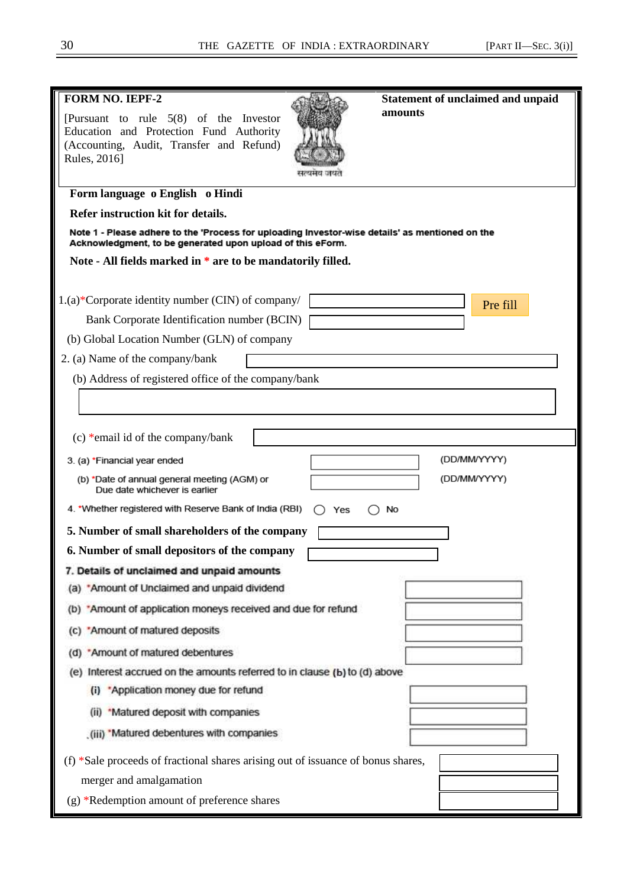| <b>FORM NO. IEPF-2</b>                                                                                                                                        |     | <b>Statement of unclaimed and unpaid</b> |              |
|---------------------------------------------------------------------------------------------------------------------------------------------------------------|-----|------------------------------------------|--------------|
| [Pursuant to rule $5(8)$ of the Investor                                                                                                                      |     | amounts                                  |              |
| Education and Protection Fund Authority                                                                                                                       |     |                                          |              |
| (Accounting, Audit, Transfer and Refund)<br>Rules, 2016]                                                                                                      |     |                                          |              |
|                                                                                                                                                               |     |                                          |              |
| Form language o English o Hindi                                                                                                                               |     |                                          |              |
| Refer instruction kit for details.                                                                                                                            |     |                                          |              |
| Note 1 - Please adhere to the 'Process for uploading Investor-wise details' as mentioned on the<br>Acknowledgment, to be generated upon upload of this eForm. |     |                                          |              |
| Note - All fields marked in * are to be mandatorily filled.                                                                                                   |     |                                          |              |
|                                                                                                                                                               |     |                                          |              |
| 1.(a)*Corporate identity number (CIN) of company/                                                                                                             |     |                                          | Pre fill     |
| Bank Corporate Identification number (BCIN)                                                                                                                   |     |                                          |              |
| (b) Global Location Number (GLN) of company                                                                                                                   |     |                                          |              |
| 2. (a) Name of the company/bank                                                                                                                               |     |                                          |              |
| (b) Address of registered office of the company/bank                                                                                                          |     |                                          |              |
|                                                                                                                                                               |     |                                          |              |
|                                                                                                                                                               |     |                                          |              |
| (c) *email id of the company/bank                                                                                                                             |     |                                          |              |
| 3. (a) *Financial year ended                                                                                                                                  |     |                                          | (DD/MM/YYYY) |
| (b) *Date of annual general meeting (AGM) or<br>Due date whichever is earlier                                                                                 |     |                                          | (DD/MM/YYYY) |
| 4. *Whether registered with Reserve Bank of India (RBI)                                                                                                       | Yes | No                                       |              |
| 5. Number of small shareholders of the company                                                                                                                |     |                                          |              |
| 6. Number of small depositors of the company                                                                                                                  |     |                                          |              |
| 7. Details of unclaimed and unpaid amounts                                                                                                                    |     |                                          |              |
| (a) *Amount of Unclaimed and unpaid dividend                                                                                                                  |     |                                          |              |
| (b) *Amount of application moneys received and due for refund                                                                                                 |     |                                          |              |
| (c) 'Amount of matured deposits                                                                                                                               |     |                                          |              |
| (d) *Amount of matured debentures                                                                                                                             |     |                                          |              |
| (e) Interest accrued on the amounts referred to in clause (b) to (d) above                                                                                    |     |                                          |              |
| (i) *Application money due for refund                                                                                                                         |     |                                          |              |
| (ii) *Matured deposit with companies                                                                                                                          |     |                                          |              |
| (iii) 'Matured debentures with companies                                                                                                                      |     |                                          |              |
| $(f)$ *Sale proceeds of fractional shares arising out of issuance of bonus shares,                                                                            |     |                                          |              |
| merger and amalgamation                                                                                                                                       |     |                                          |              |
| (g) *Redemption amount of preference shares                                                                                                                   |     |                                          |              |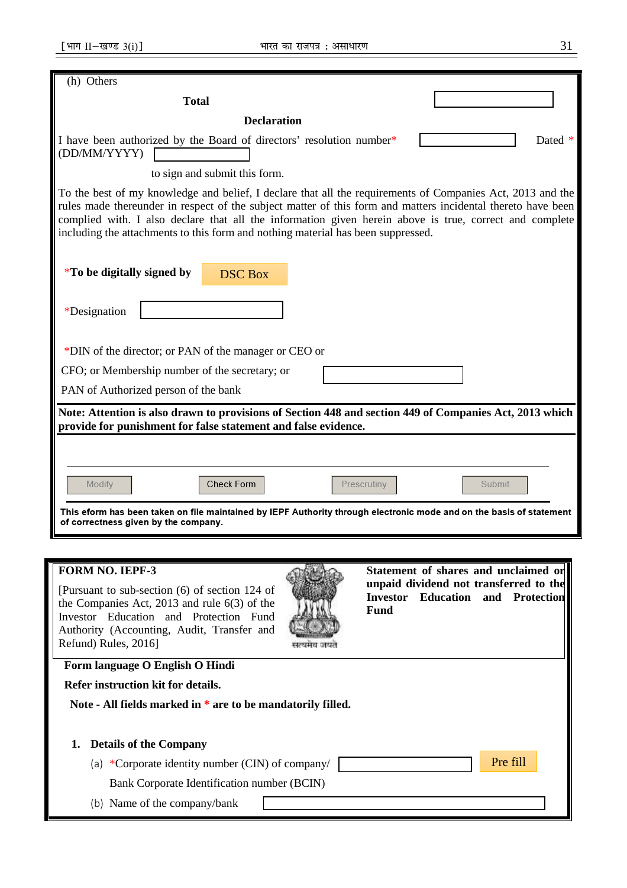| (h) Others                                                                                                                                                                                                                                                                                                                                                                                                                |                                                                                                                                    |  |  |  |  |  |  |
|---------------------------------------------------------------------------------------------------------------------------------------------------------------------------------------------------------------------------------------------------------------------------------------------------------------------------------------------------------------------------------------------------------------------------|------------------------------------------------------------------------------------------------------------------------------------|--|--|--|--|--|--|
| <b>Total</b>                                                                                                                                                                                                                                                                                                                                                                                                              |                                                                                                                                    |  |  |  |  |  |  |
| <b>Declaration</b>                                                                                                                                                                                                                                                                                                                                                                                                        |                                                                                                                                    |  |  |  |  |  |  |
| I have been authorized by the Board of directors' resolution number*<br>(DD/MM/YYYY)                                                                                                                                                                                                                                                                                                                                      | Dated *                                                                                                                            |  |  |  |  |  |  |
| to sign and submit this form.                                                                                                                                                                                                                                                                                                                                                                                             |                                                                                                                                    |  |  |  |  |  |  |
| To the best of my knowledge and belief, I declare that all the requirements of Companies Act, 2013 and the<br>rules made thereunder in respect of the subject matter of this form and matters incidental thereto have been<br>complied with. I also declare that all the information given herein above is true, correct and complete<br>including the attachments to this form and nothing material has been suppressed. |                                                                                                                                    |  |  |  |  |  |  |
| <i>*</i> To be digitally signed by<br><b>DSC Box</b>                                                                                                                                                                                                                                                                                                                                                                      |                                                                                                                                    |  |  |  |  |  |  |
| *Designation                                                                                                                                                                                                                                                                                                                                                                                                              |                                                                                                                                    |  |  |  |  |  |  |
| *DIN of the director; or PAN of the manager or CEO or                                                                                                                                                                                                                                                                                                                                                                     |                                                                                                                                    |  |  |  |  |  |  |
| CFO; or Membership number of the secretary; or                                                                                                                                                                                                                                                                                                                                                                            |                                                                                                                                    |  |  |  |  |  |  |
| PAN of Authorized person of the bank                                                                                                                                                                                                                                                                                                                                                                                      |                                                                                                                                    |  |  |  |  |  |  |
| Note: Attention is also drawn to provisions of Section 448 and section 449 of Companies Act, 2013 which<br>provide for punishment for false statement and false evidence.                                                                                                                                                                                                                                                 |                                                                                                                                    |  |  |  |  |  |  |
|                                                                                                                                                                                                                                                                                                                                                                                                                           |                                                                                                                                    |  |  |  |  |  |  |
| Check Form<br>Modify                                                                                                                                                                                                                                                                                                                                                                                                      | Submit<br>Prescrutiny                                                                                                              |  |  |  |  |  |  |
| of correctness given by the company.                                                                                                                                                                                                                                                                                                                                                                                      | This eform has been taken on file maintained by IEPF Authority through electronic mode and on the basis of statement               |  |  |  |  |  |  |
|                                                                                                                                                                                                                                                                                                                                                                                                                           |                                                                                                                                    |  |  |  |  |  |  |
| <b>FORM NO. IEPF-3</b><br>[Pursuant to sub-section (6) of section 124 of<br>the Companies Act, $2013$ and rule $6(3)$ of the<br>Investor Education and Protection Fund<br>Authority (Accounting, Audit, Transfer and<br>Refund) Rules, 2016]                                                                                                                                                                              | Statement of shares and unclaimed or<br>unpaid dividend not transferred to the<br><b>Investor Education and Protection</b><br>Fund |  |  |  |  |  |  |
| Form language O English O Hindi                                                                                                                                                                                                                                                                                                                                                                                           |                                                                                                                                    |  |  |  |  |  |  |

 **Refer instruction kit for details.** 

 **Note - All fields marked in \* are to be mandatorily filled.** 

| 1. |  |  |  | <b>Details of the Company</b> |
|----|--|--|--|-------------------------------|
|----|--|--|--|-------------------------------|

(a) \*Corporate identity number (CIN) of company/

Bank Corporate Identification number (BCIN)

(b) Name of the company/bank

Pre fill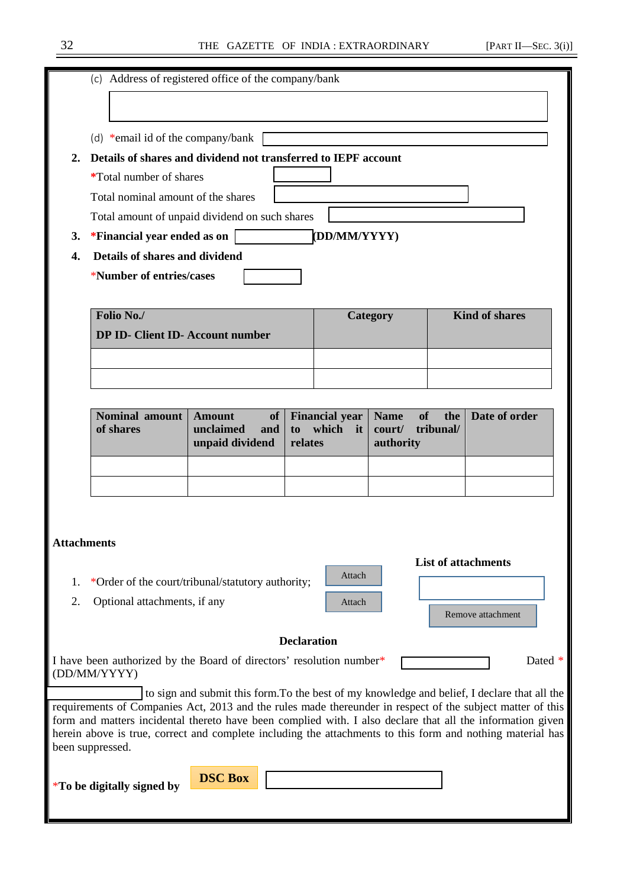|           | Address of registered office of the company/bank<br>(c)        |                                |                          |  |  |  |
|-----------|----------------------------------------------------------------|--------------------------------|--------------------------|--|--|--|
|           |                                                                |                                |                          |  |  |  |
|           | (d) *email id of the company/bank                              |                                |                          |  |  |  |
| 2.        | Details of shares and dividend not transferred to IEPF account |                                |                          |  |  |  |
|           | <i>*</i> Total number of shares                                |                                |                          |  |  |  |
|           | Total nominal amount of the shares                             |                                |                          |  |  |  |
|           | Total amount of unpaid dividend on such shares                 |                                |                          |  |  |  |
| <b>3.</b> | *Financial year ended as on                                    | (DD/MM/YYYY)                   |                          |  |  |  |
| 4.        | Details of shares and dividend                                 |                                |                          |  |  |  |
|           | *Number of entries/cases                                       |                                |                          |  |  |  |
|           |                                                                |                                |                          |  |  |  |
|           | Folio No./                                                     | Category                       | <b>Kind of shares</b>    |  |  |  |
|           | <b>DP ID- Client ID- Account number</b>                        |                                |                          |  |  |  |
|           |                                                                |                                |                          |  |  |  |
|           |                                                                |                                |                          |  |  |  |
|           | $\sim$ $\sim$ $\sim$<br>$\sim$ 1 $\sim$                        | $\rightarrow$<br>$\sim$ $\sim$ | $\overline{\phantom{a}}$ |  |  |  |

| Nominal amount   Amount<br>of shares | unpaid dividend relates | of   Financial year   Name of the   Date of order<br>unclaimed and to which it court/ tribunal/<br>authority |  |
|--------------------------------------|-------------------------|--------------------------------------------------------------------------------------------------------------|--|
|                                      |                         |                                                                                                              |  |
|                                      |                         |                                                                                                              |  |

Attach

Attach

 **List of attachments** 

Remove attachment

# **Attachments**

- 1. \*Order of the court/tribunal/statutory authority;
- 2. Optional attachments, if any

### **Declaration**

I have been authorized by the Board of directors' resolution number\* [The Contract of the Dated \* (DD/MM/YYYY)

 to sign and submit this form.To the best of my knowledge and belief, I declare that all the requirements of Companies Act, 2013 and the rules made thereunder in respect of the subject matter of this form and matters incidental thereto have been complied with. I also declare that all the information given herein above is true, correct and complete including the attachments to this form and nothing material has been suppressed.

\***To be digitally signed by**

**DSC Box**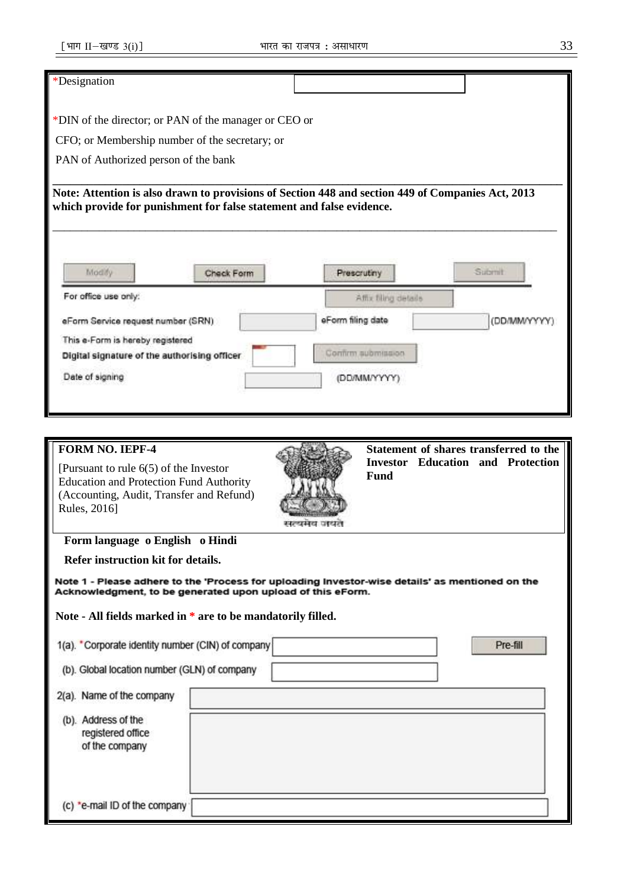## \*Designation

\*DIN of the director; or PAN of the manager or CEO or

CFO; or Membership number of the secretary; or

PAN of Authorized person of the bank

**\_\_\_\_\_\_\_\_\_\_\_\_\_\_\_\_\_\_\_\_\_\_\_\_\_\_\_\_\_\_\_\_\_\_\_\_\_\_\_\_\_\_\_\_\_\_\_\_\_\_\_\_\_\_\_\_\_\_\_\_\_\_\_\_\_\_\_\_\_\_\_\_\_\_\_\_\_\_\_\_\_\_\_\_\_\_\_\_ Note: Attention is also drawn to provisions of Section 448 and section 449 of Companies Act, 2013 which provide for punishment for false statement and false evidence.**

\_\_\_\_\_\_\_\_\_\_\_\_\_\_\_\_\_\_\_\_\_\_\_\_\_\_\_\_\_\_\_\_\_\_\_\_\_\_\_\_\_\_\_\_\_\_\_\_\_\_\_\_\_\_\_\_\_\_\_\_\_\_\_\_\_\_\_\_\_\_\_\_\_\_\_\_\_\_\_\_\_\_\_\_\_\_\_

| Modify                                       | Check Form | Prescrutiny          | Submit       |
|----------------------------------------------|------------|----------------------|--------------|
| For office use only:                         |            | Affix filing details |              |
| eForm Service request number (SRN)           |            | eForm filing date    | (DD/MM/YYYY) |
| This e-Form is hereby registered             |            | Confirm submission   |              |
| Digital signature of the authorising officer |            |                      |              |

| <b>FORM NO. IEPF-4</b><br>[Pursuant to rule $6(5)$ of the Investor<br><b>Education and Protection Fund Authority</b><br>(Accounting, Audit, Transfer and Refund)<br>Rules, 2016] | Fund | Statement of shares transferred to the<br><b>Investor Education and Protection</b> |
|----------------------------------------------------------------------------------------------------------------------------------------------------------------------------------|------|------------------------------------------------------------------------------------|
| Form language o English o Hindi                                                                                                                                                  |      |                                                                                    |
| Refer instruction kit for details.                                                                                                                                               |      |                                                                                    |
| Note 1 - Please adhere to the 'Process for uploading Investor-wise details' as mentioned on the<br>Acknowledgment, to be generated upon upload of this eForm.                    |      |                                                                                    |
| Note - All fields marked in * are to be mandatorily filled.                                                                                                                      |      |                                                                                    |
| 1(a). Corporate identity number (CIN) of company<br>(b). Global location number (GLN) of company                                                                                 |      | Pre-fill                                                                           |
| 2(a). Name of the company                                                                                                                                                        |      |                                                                                    |
| (b). Address of the<br>registered office<br>of the company                                                                                                                       |      |                                                                                    |
| (c) *e-mail ID of the company                                                                                                                                                    |      |                                                                                    |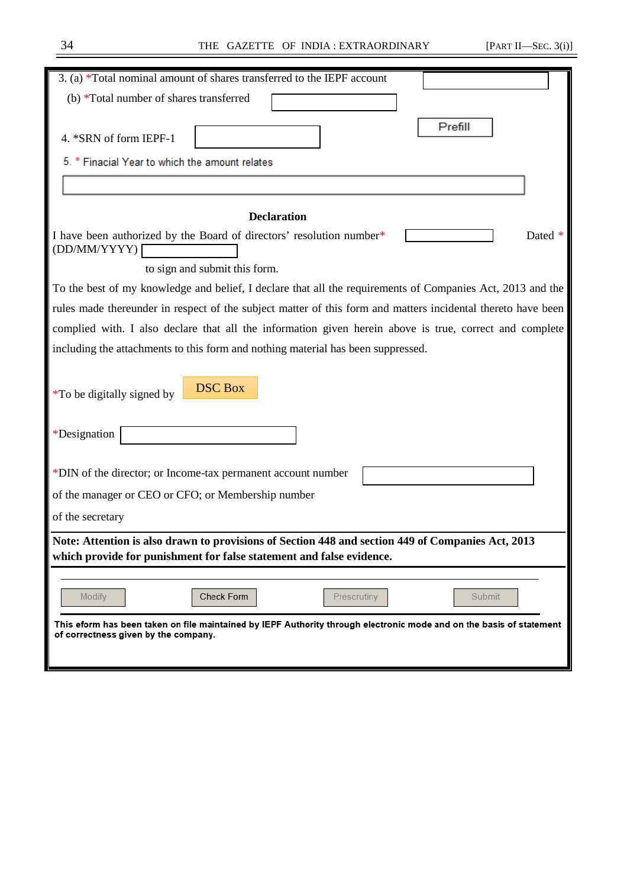═

| 3. (a) *Total nominal amount of shares transferred to the IEPF account                                                                                                    |
|---------------------------------------------------------------------------------------------------------------------------------------------------------------------------|
| (b) *Total number of shares transferred                                                                                                                                   |
| Prefill                                                                                                                                                                   |
| 4. *SRN of form IEPF-1                                                                                                                                                    |
| 5. * Finacial Year to which the amount relates                                                                                                                            |
|                                                                                                                                                                           |
| <b>Declaration</b>                                                                                                                                                        |
|                                                                                                                                                                           |
| I have been authorized by the Board of directors' resolution number*<br>Dated<br>(DD/MM/YYYY)                                                                             |
| to sign and submit this form.                                                                                                                                             |
| To the best of my knowledge and belief, I declare that all the requirements of Companies Act, 2013 and the                                                                |
| rules made thereunder in respect of the subject matter of this form and matters incidental thereto have been                                                              |
| complied with. I also declare that all the information given herein above is true, correct and complete                                                                   |
| including the attachments to this form and nothing material has been suppressed.                                                                                          |
| <b>DSC Box</b><br>*To be digitally signed by<br>*Designation                                                                                                              |
|                                                                                                                                                                           |
| *DIN of the director; or Income-tax permanent account number                                                                                                              |
| of the manager or CEO or CFO; or Membership number                                                                                                                        |
| of the secretary                                                                                                                                                          |
| Note: Attention is also drawn to provisions of Section 448 and section 449 of Companies Act, 2013<br>which provide for punishment for false statement and false evidence. |
|                                                                                                                                                                           |
| Check Form<br>Modify<br>Prescrutiny<br>Submit                                                                                                                             |
| This eform has been taken on file maintained by IEPF Authority through electronic mode and on the basis of statement                                                      |
| of correctness given by the company.                                                                                                                                      |
|                                                                                                                                                                           |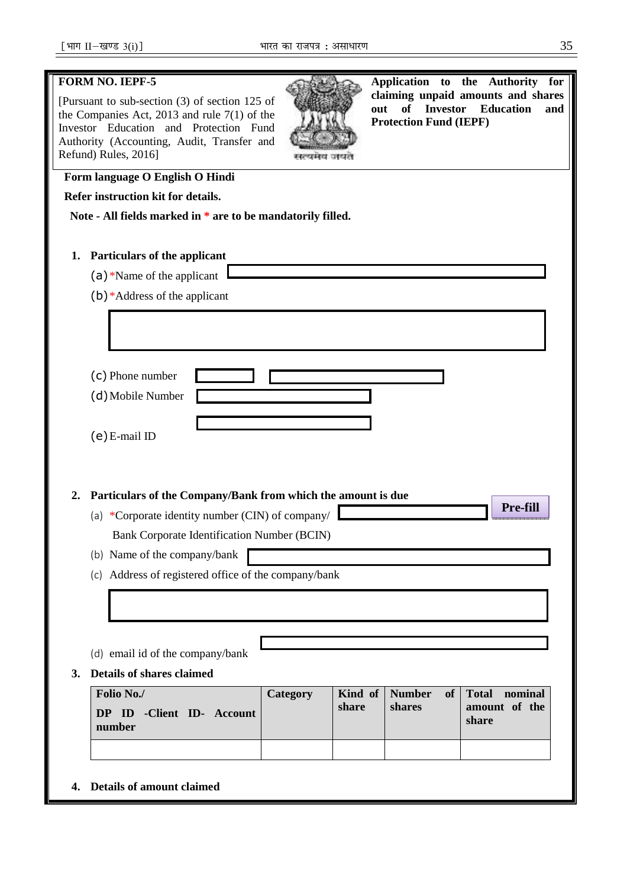## **FORM NO. IEPF-5**

[Pursuant to sub-section (3) of section 125 of the Companies Act, 2013 and rule 7(1) of the Investor Education and Protection Fund Authority (Accounting, Audit, Transfer and Refund) Rules, 2016]



**Application to the Authority for claiming unpaid amounts and shares out of Investor Education and Protection Fund (IEPF)**

**Pre-fill**

# **Form language O English O Hindi**

 **Refer instruction kit for details.** 

 **Note - All fields marked in \* are to be mandatorily filled.** 

- **1. Particulars of the applicant** 
	- (a)\*Name of the applicant
	- (b)\*Address of the applicant

(c) Phone number (d)Mobile Number

**2. Particulars of the Company/Bank from which the amount is due** 

(a) \*Corporate identity number (CIN) of company/ Bank Corporate Identification Number (BCIN)

(b) Name of the company/bank

- (c) Address of registered office of the company/bank
- (d) email id of the company/bank
- **3. Details of shares claimed**

| Folio No./<br><b>DP ID -Client ID- Account</b><br>number | Category | share | shares | Kind of   Number of   Total nominal<br>amount of the<br>share |
|----------------------------------------------------------|----------|-------|--------|---------------------------------------------------------------|
|                                                          |          |       |        |                                                               |

**4. Details of amount claimed**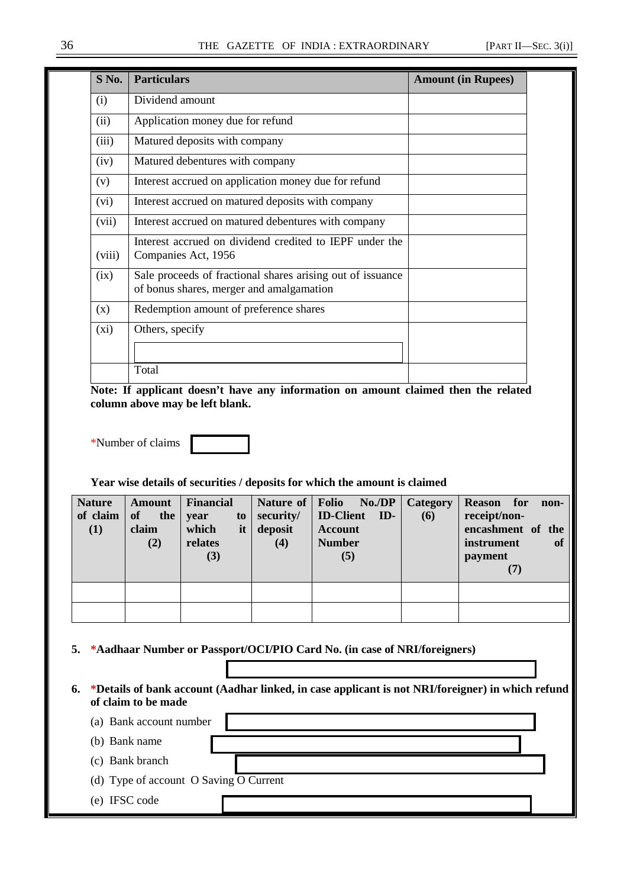| S No.  | <b>Particulars</b>                                                                                     | <b>Amount (in Rupees)</b> |
|--------|--------------------------------------------------------------------------------------------------------|---------------------------|
| (i)    | Dividend amount                                                                                        |                           |
| (ii)   | Application money due for refund                                                                       |                           |
| (iii)  | Matured deposits with company                                                                          |                           |
| (iv)   | Matured debentures with company                                                                        |                           |
| (v)    | Interest accrued on application money due for refund                                                   |                           |
| (vi)   | Interest accrued on matured deposits with company                                                      |                           |
| (vii)  | Interest accrued on matured debentures with company                                                    |                           |
| (viii) | Interest accrued on dividend credited to IEPF under the<br>Companies Act, 1956                         |                           |
| (ix)   | Sale proceeds of fractional shares arising out of issuance<br>of bonus shares, merger and amalgamation |                           |
| (x)    | Redemption amount of preference shares                                                                 |                           |
| (xi)   | Others, specify                                                                                        |                           |
|        |                                                                                                        |                           |
|        | Total                                                                                                  |                           |

**Note: If applicant doesn't have any information on amount claimed then the related column above may be left blank.** 

\*Number of claims



**Year wise details of securities / deposits for which the amount is claimed** 

| <b>Nature</b><br>of claim<br>(1) | <b>Amount</b><br>of<br>the<br>claim<br>(2) | <b>Financial</b><br>to<br>year<br>which<br>it<br>relates<br>(3) | security/<br>deposit<br>(4) | Nature of   Folio No./DP<br><b>ID-Client ID-</b><br><b>Account</b><br><b>Number</b><br>(5) | Category<br>(6) | <b>Reason</b> for<br>non-<br>receipt/non-<br>encashment of the<br>instrument<br><b>of</b><br>payment<br>(7) |
|----------------------------------|--------------------------------------------|-----------------------------------------------------------------|-----------------------------|--------------------------------------------------------------------------------------------|-----------------|-------------------------------------------------------------------------------------------------------------|
|                                  |                                            |                                                                 |                             |                                                                                            |                 |                                                                                                             |
|                                  |                                            |                                                                 |                             |                                                                                            |                 |                                                                                                             |

**5. \*Aadhaar Number or Passport/OCI/PIO Card No. (in case of NRI/foreigners)** 

**6. \*Details of bank account (Aadhar linked, in case applicant is not NRI/foreigner) in which refund of claim to be made** 

(a) Bank account number

(b) Bank name

(c) Bank branch

(d) Type of account O Saving O Current

(e) IFSC code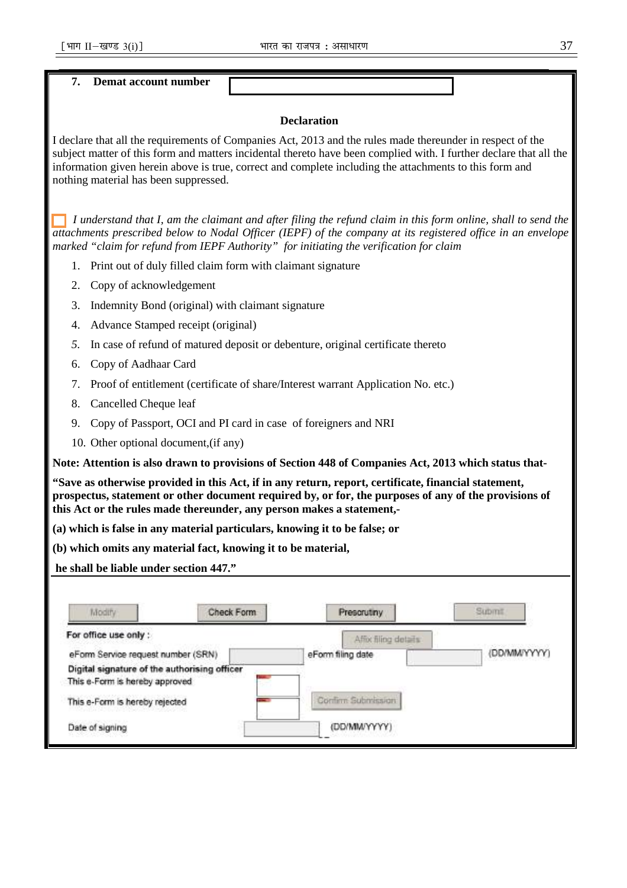**7. Demat account number** 

## **Declaration**

I declare that all the requirements of Companies Act, 2013 and the rules made thereunder in respect of the subject matter of this form and matters incidental thereto have been complied with. I further declare that all the information given herein above is true, correct and complete including the attachments to this form and nothing material has been suppressed.

 *I understand that I, am the claimant and after filing the refund claim in this form online, shall to send the attachments prescribed below to Nodal Officer (IEPF) of the company at its registered office in an envelope marked "claim for refund from IEPF Authority" for initiating the verification for claim* 

- 1. Print out of duly filled claim form with claimant signature
- 2. Copy of acknowledgement
- 3. Indemnity Bond (original) with claimant signature
- 4. Advance Stamped receipt (original)
- *5.* In case of refund of matured deposit or debenture, original certificate thereto
- 6. Copy of Aadhaar Card
- 7. Proof of entitlement (certificate of share/Interest warrant Application No. etc.)
- 8. Cancelled Cheque leaf
- 9. Copy of Passport, OCI and PI card in case of foreigners and NRI
- 10. Other optional document,(if any)

**Note: Attention is also drawn to provisions of Section 448 of Companies Act, 2013 which status that-** 

**"Save as otherwise provided in this Act, if in any return, report, certificate, financial statement, prospectus, statement or other document required by, or for, the purposes of any of the provisions of this Act or the rules made thereunder, any person makes a statement,-** 

- **(a) which is false in any material particulars, knowing it to be false; or**
- **(b) which omits any material fact, knowing it to be material,**

 **he shall be liable under section 447."** 

| Modify                                       | Check Form | Prescrutiny          | Submit                                  |
|----------------------------------------------|------------|----------------------|-----------------------------------------|
| For office use only :                        |            | Affor filing details |                                         |
| eForm Service request number (SRN)           |            | eForm filing date    | PASPAR LANCOURS/VICED)<br>(DD/MM/YYYYY) |
| Digital signature of the authorising officer |            |                      |                                         |
| This e-Form is hereby approved               |            |                      |                                         |
| This e-Form is hereby rejected               |            | Confirm Submission   |                                         |
| Date of signing                              |            | (DD/MM/YYYY)         |                                         |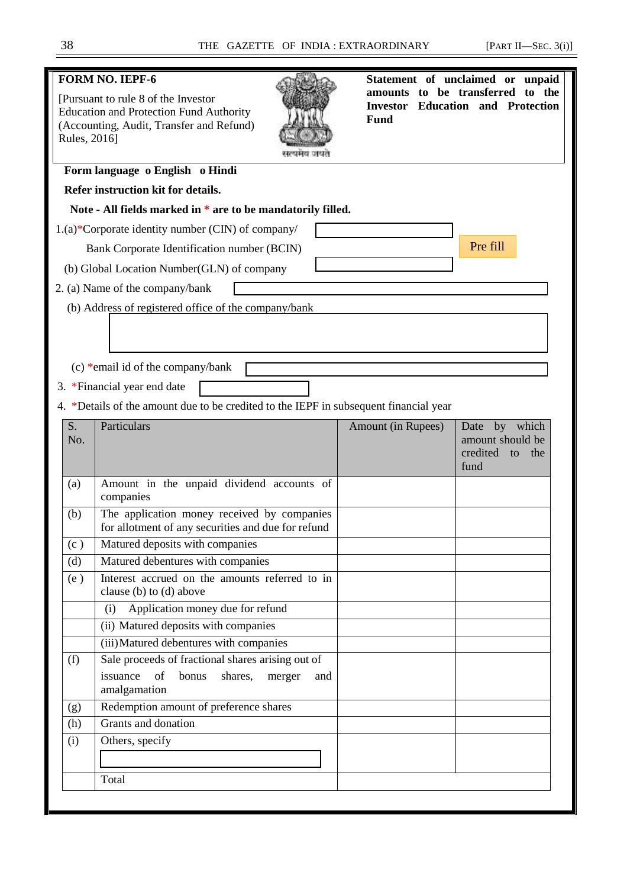# **FORM NO. IEPF-6**  [Pursuant to rule 8 of the Investor Education and Protection Fund Authority (Accounting, Audit, Transfer and Refund) Rules, 2016] **Statement of unclaimed or unpaid amounts to be transferred to the Investor Education and Protection Fund Form language o English o Hindi Refer instruction kit for details. Note - All fields marked in \* are to be mandatorily filled.**  1.(a)\*Corporate identity number (CIN) of company/ Bank Corporate Identification number (BCIN) (b) Global Location Number(GLN) of company 2. (a) Name of the company/bank (b) Address of registered office of the company/bank (c) \*email id of the company/bank 3. \*Financial year end date 4. \*Details of the amount due to be credited to the IEPF in subsequent financial year S. No. Particulars **Amount (in Rupees)** Date by which amount should be credited to the fund (a) Amount in the unpaid dividend accounts of companies (b) The application money received by companies for allotment of any securities and due for refund (c ) Matured deposits with companies (d) Matured debentures with companies (e ) Interest accrued on the amounts referred to in clause (b) to (d) above (i) Application money due for refund (ii) Matured deposits with companies (iii)Matured debentures with companies  $(f)$  Sale proceeds of fractional shares arising out of issuance of bonus shares, merger and amalgamation (g) Redemption amount of preference shares (h) Grants and donation (i) Others, specify Total Pre fill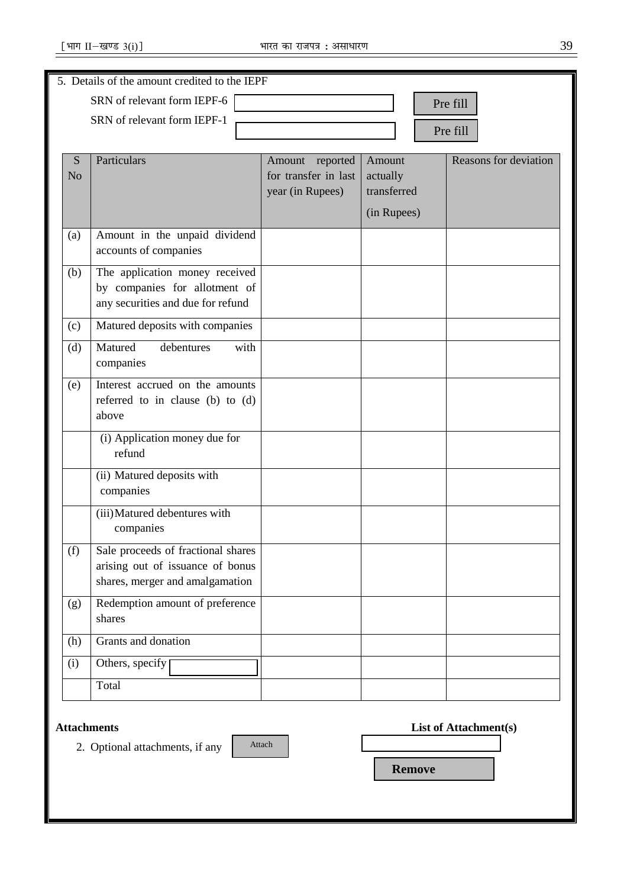|                | 5. Details of the amount credited to the IEPF          |                      |                         |                       |
|----------------|--------------------------------------------------------|----------------------|-------------------------|-----------------------|
|                | SRN of relevant form IEPF-6                            |                      |                         | Pre fill              |
|                | SRN of relevant form IEPF-1                            |                      |                         |                       |
|                |                                                        |                      |                         | Pre fill              |
| S              | Particulars                                            | reported<br>Amount   | Amount                  | Reasons for deviation |
| N <sub>o</sub> |                                                        | for transfer in last | actually<br>transferred |                       |
|                |                                                        | year (in Rupees)     |                         |                       |
|                |                                                        |                      | (in Rupees)             |                       |
| (a)            | Amount in the unpaid dividend<br>accounts of companies |                      |                         |                       |
| (b)            | The application money received                         |                      |                         |                       |
|                | by companies for allotment of                          |                      |                         |                       |
|                | any securities and due for refund                      |                      |                         |                       |
| (c)            | Matured deposits with companies                        |                      |                         |                       |
| (d)            | Matured<br>debentures<br>with                          |                      |                         |                       |
|                | companies                                              |                      |                         |                       |
| (e)            | Interest accrued on the amounts                        |                      |                         |                       |
|                | referred to in clause (b) to (d)<br>above              |                      |                         |                       |
|                |                                                        |                      |                         |                       |
|                | (i) Application money due for<br>refund                |                      |                         |                       |
|                | (ii) Matured deposits with                             |                      |                         |                       |
|                | companies                                              |                      |                         |                       |
|                | (iii) Matured debentures with                          |                      |                         |                       |
|                | companies                                              |                      |                         |                       |
| (f)            | Sale proceeds of fractional shares                     |                      |                         |                       |
|                | arising out of issuance of bonus                       |                      |                         |                       |
|                | shares, merger and amalgamation                        |                      |                         |                       |
| (g)            | Redemption amount of preference                        |                      |                         |                       |
|                | shares                                                 |                      |                         |                       |
| (h)            | Grants and donation                                    |                      |                         |                       |
| (i)            | Others, specify                                        |                      |                         |                       |
|                | Total                                                  |                      |                         |                       |
|                |                                                        |                      |                         |                       |

## **Attachments**

2. Optional attachments, if any

| Attach |  |  |
|--------|--|--|
|        |  |  |

|  | <b>List of Attachment(s)</b> |
|--|------------------------------|
|--|------------------------------|

 **Remove**